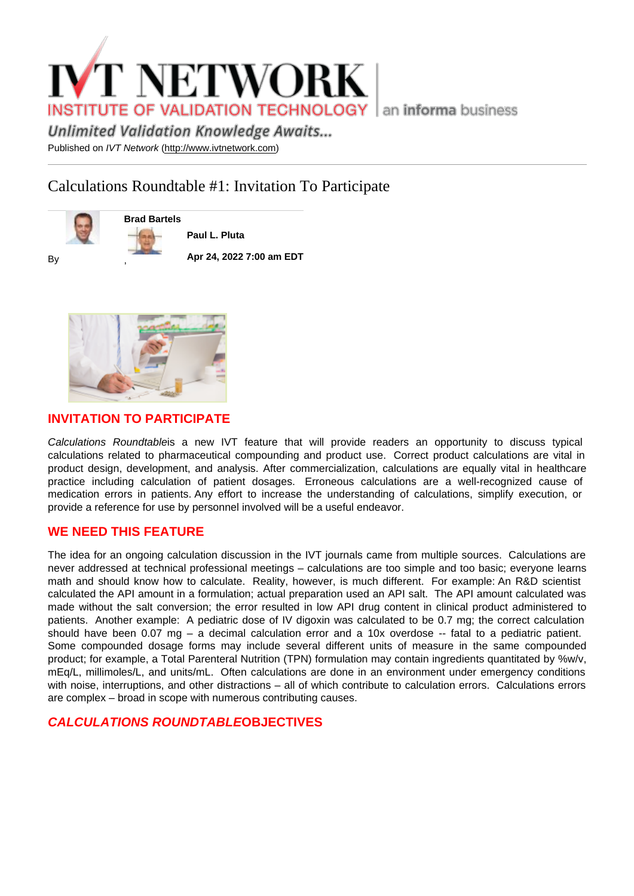# Calculations Roundtable #1: Invitation To Participate

Brad Bartels

By

Paul L. Pluta

Apr 24, 2022 7:00 am EDT



,

## INVITATION TO PARTICIPATE

Calculations Roundtableis a new IVT feature that will provide readers an opportunity to discuss typical calculations related to pharmaceutical compounding and product use. Correct product calculations are vital in product design, development, and analysis. After commercialization, calculations are equally vital in healthcare practice including calculation of patient dosages. Erroneous calculations are a well-recognized cause of medication errors in patients. Any effort to increase the understanding of calculations, simplify execution, or provide a reference for use by personnel involved will be a useful endeavor.

## WE NEED THIS FEATURE

The idea for an ongoing calculation discussion in the IVT journals came from multiple sources. Calculations are never addressed at technical professional meetings – calculations are too simple and too basic; everyone learns math and should know how to calculate. Reality, however, is much different. For example: An R&D scientist calculated the API amount in a formulation; actual preparation used an API salt. The API amount calculated was made without the salt conversion; the error resulted in low API drug content in clinical product administered to patients. Another example: A pediatric dose of IV digoxin was calculated to be 0.7 mg; the correct calculation should have been 0.07 mg – a decimal calculation error and a 10x overdose -- fatal to a pediatric patient. Some compounded dosage forms may include several different units of measure in the same compounded product; for example, a Total Parenteral Nutrition (TPN) formulation may contain ingredients quantitated by %w/v, mEq/L, millimoles/L, and units/mL. Often calculations are done in an environment under emergency conditions with noise, interruptions, and other distractions – all of which contribute to calculation errors. Calculations errors are complex – broad in scope with numerous contributing causes.

CALCULATIONS ROUNDTABLE OBJECTIVES